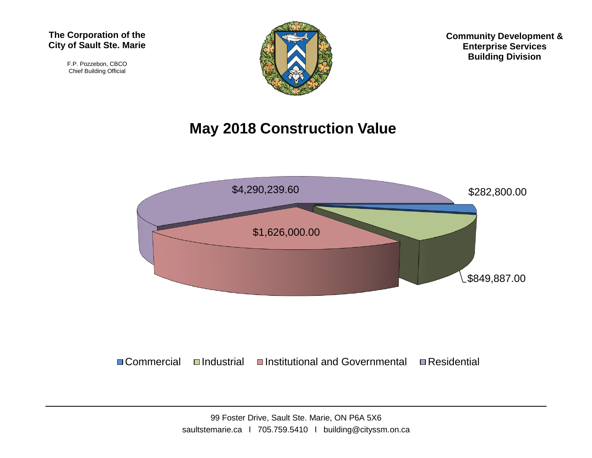F.P. Pozzebon, CBCO Chief Building Official



**Community Development & Enterprise Services Building Division**

## **May 2018 Construction Value**



■ Commercial Industrial Institutional and Governmental InResidential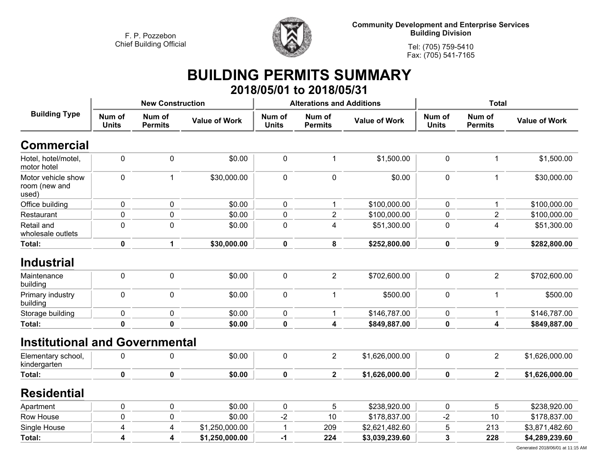

**Community Development and Enterprise Services Building Division**

**Tel: (705) 759-5410Fax: (705) 541-7165**

## **BUILDING PERMITS SUMMARY 2018/05/01 to 2018/05/31**

| <b>Building Type</b>                         |                         | <b>New Construction</b>  |                      |                        | <b>Alterations and Additions</b> |                      | <b>Total</b>           |                          |                      |
|----------------------------------------------|-------------------------|--------------------------|----------------------|------------------------|----------------------------------|----------------------|------------------------|--------------------------|----------------------|
|                                              | Num of<br><b>Units</b>  | Num of<br><b>Permits</b> | <b>Value of Work</b> | Num of<br><b>Units</b> | Num of<br><b>Permits</b>         | <b>Value of Work</b> | Num of<br><b>Units</b> | Num of<br><b>Permits</b> | <b>Value of Work</b> |
| <b>Commercial</b>                            |                         |                          |                      |                        |                                  |                      |                        |                          |                      |
| Hotel, hotel/motel,<br>motor hotel           | $\mathbf 0$             | $\mathbf 0$              | \$0.00               | $\pmb{0}$              | 1                                | \$1,500.00           | $\pmb{0}$              | $\mathbf{1}$             | \$1,500.00           |
| Motor vehicle show<br>room (new and<br>used) | $\mathbf 0$             | $\mathbf 1$              | \$30,000.00          | $\mathbf 0$            | 0                                | \$0.00               | 0                      | $\mathbf 1$              | \$30,000.00          |
| Office building                              | $\mathbf 0$             | $\pmb{0}$                | \$0.00               | $\mathbf 0$            |                                  | \$100,000.00         | 0                      | $\mathbf 1$              | \$100,000.00         |
| Restaurant                                   | $\mathbf 0$             | $\pmb{0}$                | \$0.00               | $\mathbf 0$            | $\overline{2}$                   | \$100,000.00         | 0                      | $\overline{2}$           | \$100,000.00         |
| Retail and<br>wholesale outlets              | $\overline{0}$          | $\pmb{0}$                | \$0.00               | 0                      | 4                                | \$51,300.00          | 0                      | $\overline{4}$           | \$51,300.00          |
| Total:                                       | $\mathbf 0$             | $\mathbf{1}$             | \$30,000.00          | $\mathbf 0$            | 8                                | \$252,800.00         | $\mathbf 0$            | 9                        | \$282,800.00         |
| <b>Industrial</b>                            |                         |                          |                      |                        |                                  |                      |                        |                          |                      |
| Maintenance<br>building                      | $\mathbf 0$             | $\mathbf 0$              | \$0.00               | $\mathbf 0$            | $\overline{2}$                   | \$702,600.00         | 0                      | $\overline{2}$           | \$702,600.00         |
| Primary industry<br>building                 | $\mathbf 0$             | $\pmb{0}$                | \$0.00               | $\mathbf 0$            | 1                                | \$500.00             | 0                      | $\mathbf{1}$             | \$500.00             |
| Storage building                             | $\mathbf 0$             | $\pmb{0}$                | \$0.00               | $\mathbf 0$            | $\mathbf{1}$                     | \$146,787.00         | 0                      | $\mathbf 1$              | \$146,787.00         |
| Total:                                       | $\mathbf 0$             | $\mathbf 0$              | \$0.00               | $\mathbf 0$            | 4                                | \$849,887.00         | $\mathbf 0$            | 4                        | \$849,887.00         |
| <b>Institutional and Governmental</b>        |                         |                          |                      |                        |                                  |                      |                        |                          |                      |
| Elementary school,<br>kindergarten           | 0                       | $\pmb{0}$                | \$0.00               | $\mathbf 0$            | $\overline{2}$                   | \$1,626,000.00       | 0                      | $\overline{2}$           | \$1,626,000.00       |
| Total:                                       | $\mathbf 0$             | $\pmb{0}$                | \$0.00               | $\mathbf 0$            | $\overline{2}$                   | \$1,626,000.00       | $\mathbf 0$            | $\overline{\mathbf{2}}$  | \$1,626,000.00       |
| <b>Residential</b>                           |                         |                          |                      |                        |                                  |                      |                        |                          |                      |
| Apartment                                    | $\mathbf 0$             | $\pmb{0}$                | \$0.00               | $\mathbf 0$            | 5                                | \$238,920.00         | 0                      | 5                        | \$238,920.00         |
| Row House                                    | $\mathbf 0$             | $\pmb{0}$                | \$0.00               | $-2$                   | 10                               | \$178,837.00         | $-2$                   | 10                       | \$178,837.00         |
| Single House                                 | 4                       | 4                        | \$1,250,000.00       | 1                      | 209                              | \$2,621,482.60       | 5                      | 213                      | \$3,871,482.60       |
| Total:                                       | $\overline{\mathbf{4}}$ | 4                        | \$1,250,000.00       | -1                     | 224                              | \$3,039,239.60       | 3                      | 228                      | \$4,289,239.60       |
|                                              |                         |                          |                      |                        |                                  |                      |                        |                          |                      |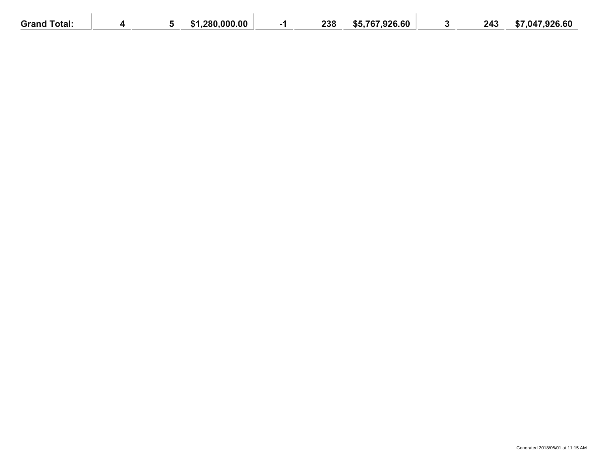| <b>Grand Total:</b> |  | .280.000.00<br>ς1 | 238 | \$5,767,926.60 | 243 | 7,047,926.60<br>\$7 |
|---------------------|--|-------------------|-----|----------------|-----|---------------------|
|                     |  |                   |     |                |     |                     |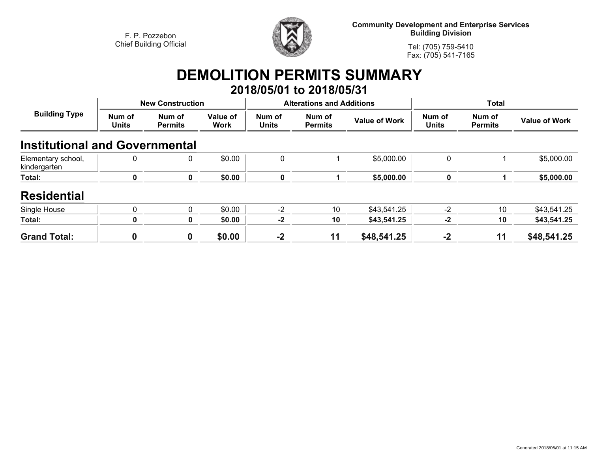

**Community Development and Enterprise Services Building Division**

**Tel: (705) 759-5410Fax: (705) 541-7165**

## **DEMOLITION PERMITS SUMMARY**

|                                       |                        |                          |                         |                        | 2018/05/01 to 2018/05/31         |                      |                        |                          |                      |
|---------------------------------------|------------------------|--------------------------|-------------------------|------------------------|----------------------------------|----------------------|------------------------|--------------------------|----------------------|
| <b>Building Type</b>                  |                        | <b>New Construction</b>  |                         |                        | <b>Alterations and Additions</b> |                      | <b>Total</b>           |                          |                      |
|                                       | Num of<br><b>Units</b> | Num of<br><b>Permits</b> | Value of<br><b>Work</b> | Num of<br><b>Units</b> | Num of<br><b>Permits</b>         | <b>Value of Work</b> | Num of<br><b>Units</b> | Num of<br><b>Permits</b> | <b>Value of Work</b> |
| <b>Institutional and Governmental</b> |                        |                          |                         |                        |                                  |                      |                        |                          |                      |
| Elementary school,<br>kindergarten    | 0                      | 0                        | \$0.00                  | 0                      |                                  | \$5,000.00           | 0                      |                          | \$5,000.00           |
| Total:                                | 0                      | 0                        | \$0.00                  | $\mathbf 0$            |                                  | \$5,000.00           | 0                      |                          | \$5,000.00           |
| <b>Residential</b>                    |                        |                          |                         |                        |                                  |                      |                        |                          |                      |
| Single House                          | 0                      | $\mathbf{0}$             | \$0.00                  | $-2$                   | 10                               | \$43,541.25          | $-2$                   | 10                       | \$43,541.25          |
| Total:                                | $\mathbf 0$            | 0                        | \$0.00                  | $-2$                   | 10                               | \$43,541.25          | $-2$                   | 10                       | \$43,541.25          |
| <b>Grand Total:</b>                   |                        | $\boldsymbol{0}$         | \$0.00                  | $-2$                   | 11                               | \$48,541.25          | $-2$                   | 11                       | \$48,541.25          |